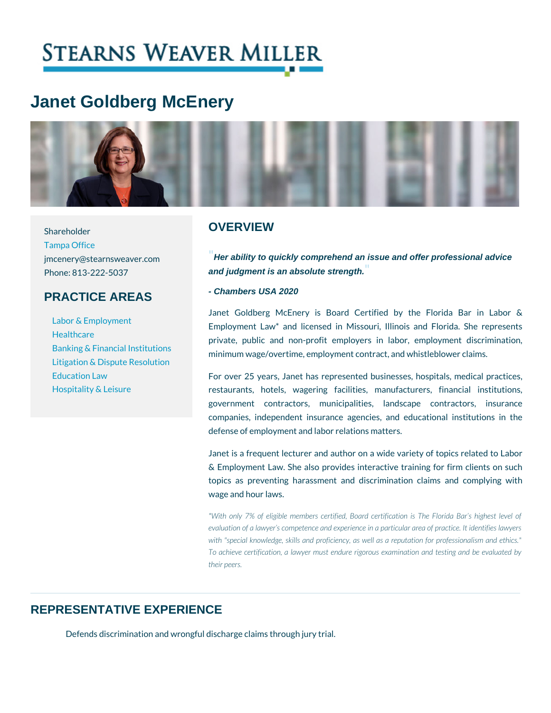# Janet Goldberg McEnery

Shareholder

[Tampa O](https://www.stearnsweaver.com/offices/tampa/)ffice

#### **OVERVIEW**

jmcenery@stearnsweaver.com ability to quickly comprehend an issue and offer professional advice Phone: 813-222-5037 and judgment is an absolute strength.

## PRACTICE AREAS

[Educatio](https://www.stearnsweaver.com/practices/education-law)n Law

[Hospitality &](https://www.stearnsweaver.com/practices/hospitality-leisure) Leisure

- Chambers USA 2020

[Labor & Emp](https://www.stearnsweaver.com/practices/labor-employment-law)loyment [Healthc](https://www.stearnsweaver.com/practices/healthcare)are [Banking & Financia](https://www.stearnsweaver.com/practices/banking-financial-institutions)l Insti [Litigation & Dispute](https://www.stearnsweaver.com/practices/litigation-dispute-resolution) Resolution Janet Goldberg McEnery is Board Certified by t Employment Law\* and licensed in Missouri, Illinois private, public and non-profit employers in labor, tutions<br>minimum wage/overtime, employment contract, and whis

> For over 25 years, Janet has represented businesses restaurants, hotels, wagering facilities, manufac government contractors, municipalities, landsca companies, independent insurance agencies, and ed defense of employment and labor relations matters.

> Janet is a frequent lecturer and author on a wide vari & Employment Law. She also provides interactive train topics as preventing harassment and discrimination wage and hour laws.

> \*With only 7% of eligible members certified, Board certific evaluation of a lawyer s competence and experience in a part with "special knowledge, skills and proficiency, as well as a To achieve certification, a lawyer must endure rigorous exa their peers.

## REPRESENTATIVE EXPERIENCE

Defends discrimination and wrongful discharge claims through jury trial.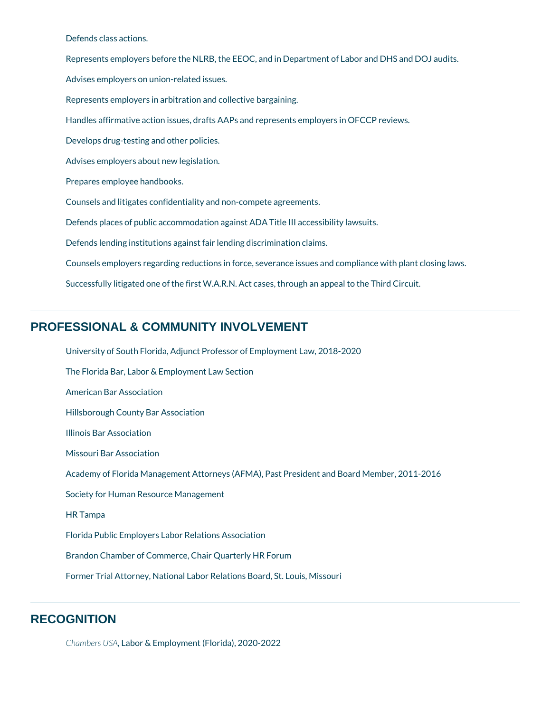Defends class actions.

Represents employers before the NLRB, the EEOC, and in Department of Labor and DHS and DOJ audits.

Advises employers on union-related issues.

Represents employers in arbitration and collective bargaining.

Handles affirmative action issues, drafts AAPs and represents employers in OFCCP reviews.

Develops drug-testing and other policies.

Advises employers about new legislation.

Prepares employee handbooks.

Counsels and litigates confidentiality and non-compete agreements.

Defends places of public accommodation against ADA Title III accessibility lawsuits.

Defends lending institutions against fair lending discrimination claims.

Counsels employers regarding reductions in force, severance issues and compliance with plant closing laws.

Successfully litigated one of the first W.A.R.N. Act cases, through an appeal to the Third Circuit.

# **PROFESSIONAL & COMMUNITY INVOLVEMENT**

University of South Florida, Adjunct Professor of Employment Law, 2018-2020 The Florida Bar, Labor & Employment Law Section American Bar Association Hillsborough County Bar Association Illinois Bar Association Missouri Bar Association Academy of Florida Management Attorneys (AFMA), Past President and Board Member, 2011-2016 Society for Human Resource Management HR Tampa Florida Public Employers Labor Relations Association Brandon Chamber of Commerce, Chair Quarterly HR Forum

Former Trial Attorney, National Labor Relations Board, St. Louis, Missouri

#### **RECOGNITION**

*Chambers USA*, Labor & Employment (Florida), 2020-2022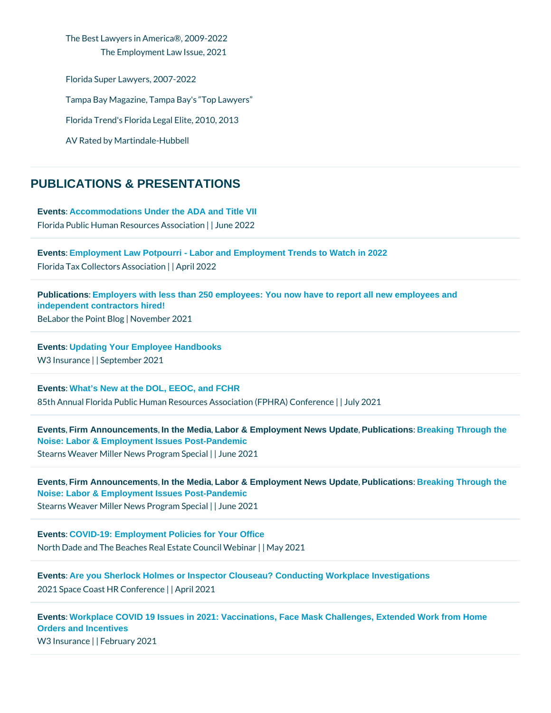The Best Lawyers in America®, 2009-2022 The Employment Law Issue, 2021 Florida Super Lawyers, 2007-2022 Tampa Bay Magazine, Tampa Bay's Top Lawyers Florida Trend's Florida Legal Elite, 2010, 2013 AV Rated by Martindale-Hubbell

## PUBLICATIONS & PRESENTATIONS

[Events](/blog/category/events/) [: Accommodations Under the ADA and Title VII](https://www.fphra.org/event-4670329)  Florida Public Human Resoult cleus and 2s002c2 ation

[Events](/blog/category/events/) [: Employment Law Potpourri - Labor and Employment Trends to Watch in 2022](https://portal.floridataxcollectors.com/forum/store/category/23-attendees/) Florida Tax Collectors| Apsidc2@120n

[Publications](/blog/category/publications/) : Employers with less than 250 employees: You now have to report all new employees and [independent contractors hired!](https://bit.ly/3kpDujY) BeLabor the Point by Belmonger 2021

[Events](/blog/category/events/) [: Updating Your Employee Handbooks](https://w3ins.com/news/events/) W3 Insuranceptember 2021

[Events](/blog/category/events/) [: What's New at the DOL, EEOC, and FCHR](https://www.stearnsweaver.com/files/FPHRA Pre-Conference Agenda.pdf) 85th Annual Florida Public Human Resources Associaty (2002 FPHRA) Conference

[Events](/blog/category/events/) Firm Announcements In the Media Labor & Employment News Update Publications : Breaking Through the [Noise: Labor & Employment Issues Post-Pandemic](https://www.stearnsweaver.com/practices/breaking-through-the-noise/) Stearns Weaver Miller News | P Jognea 2008 pecial

[Events](/blog/category/events/) Firm Announcements In the Media Labor & Employment News Update Publications : Breaking Through the [Noise: Labor & Employment Issues Post-Pandemic](https://www.stearnsweaver.com/practices/breaking-through-the-noise/) Stearns Weaver Miller News | P Jon mea 2008 pecial

[Events](/blog/category/events/) [: COVID-19: Employment Policies for Your Office](http://flarecs.com/component/rseventspro/event/714-covid-19-employment-policies-for-your-office?Itemid=101) North Dade and The Beaches Real Estate Council Webinar

[Events](/blog/category/events/) [: Are you Sherlock Holmes or Inspector Clouseau? Conducting Workplace Investigations](https://www.spacecoasthrconference.com/) 2021 Space Coast HR||CApprile r2026

[Events](/blog/category/events/) [: Workplace COVID 19 Issues in 2021: Vaccinations, Face Mask Challenges, Extended Work from Home](https://w3ins.com/news/events/)  [Orders and Incentives](https://w3ins.com/news/events/)

W3 Insurancebruary 2021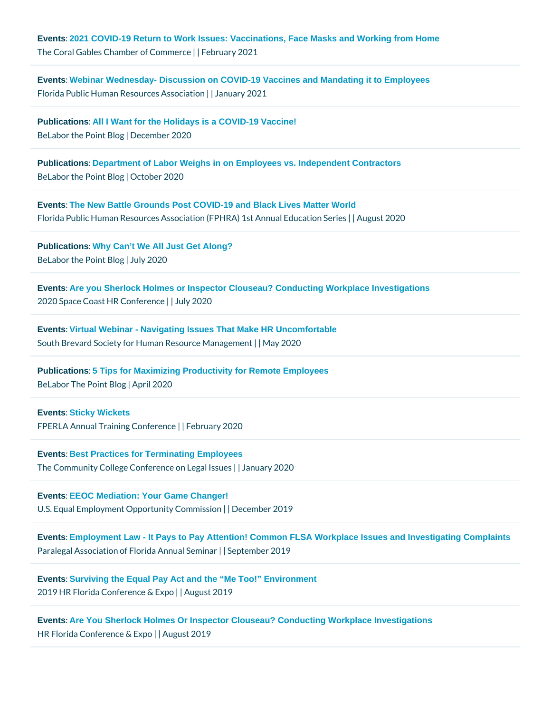[Events](/blog/category/events/) [: 2021 COVID-19 Return to Work Issues: Vaccinations, Face Masks and Working from Home](https://site.coralgableschamber.org/events/VirtualCoral Gables Chamber FlyIn -971297/details) The Coral Gables Chambeld bebCommerce 2021

[Events](/blog/category/events/) [: Webinar Wednesday- Discussion on COVID-19 Vaccines and Mandating it to Employees](https://us02web.zoom.us/webinar/register/WN_pQZaMLcJR2OarS2hzcq7Qw) Florida Public Human Resoult cleash Association

[Publications](/blog/category/publications/) [: All I Want for the Holidays is a COVID-19 Vaccine!](http://bit.ly/3mt3ZU5) BeLabor the PoiDe cBelmoto er 2020

[Publications](/blog/category/publications/) [: Department of Labor Weighs in on Employees vs. Independent Contractors](https://bit.ly/2SRoJs8) BeLabor the  $P\phi$  inthe  $B$  boegr 2020

[Events](/blog/category/events/) [: The New Battle Grounds Post COVID-19 and Black Lives Matter World](http://www.fphra.org/resources/Documents/Schedule at a Glance-Series 2020.pdf ) Florida Public Human Resources Association (FPHR|AA ungsuts An2n0 260 Education Series

[Publications](/blog/category/publications/) Why Can't We All Just Get Along?  $Belabor$  the  $P\phi$  is  $\phi$  and  $\phi$  and  $\phi$  20

[Events](/blog/category/events/) [: Are you Sherlock Holmes or Inspector Clouseau? Conducting Workplace Investigations](https://www.spacecoasthrconference.com/?utm_campaign=139e1b68-910f-4036-93a5-e7d675e094cf&utm_source=so&utm_medium=mail&cid=e8a01dbc-1f69-4903-ac5f-d7) 2020 Space Coast HR||Clain fe 2020e

[Events](/blog/category/events/) [: Virtual Webinar - Navigating Issues That Make HR Uncomfortable](https://sbshrm.org/meetinginfo.php?id=49&ts=1588649031) South Brevard Society for Human ResMayc20Management

[Publications](/blog/category/publications/) [: 5 Tips for Maximizing Productivity for Remote Employees](https://www.belaborthepoint.com/2020/04/5-tips-for-maximizing-productivity-for-remote-employees/)  $Belabor$  The  $P\phi$ i $An$  $p$ r $Bl$  2020

[Events](/blog/category/events/) [: Sticky Wickets](https://fpelra.org/education/annual-training-conference/atc-agenda-day-1/) FPERLA Annual Training FCeotonfuera eyn 2020

[Events](/blog/category/events/) [: Best Practices for Terminating Employees](https://conferences.valenciacollege.edu/legal-issues/agenda/) The Community College Conference and Legal 20 20 sues

[Events](/blog/category/events/) [: EEOC Mediation: Your Game Changer!](https://www.eventbrite.com/e/eeoc-mediation-your-game-changer-tickets-80395277439) U.S. Equal Employment Opportly rDieyce Completer is 6 it con

[Events](/blog/category/events/) [: Employment Law - It Pays to Pay Attention! Common FLSA Workplace Issues and Investigating Complaints](https://pafinc.org/wp-content/uploads/2019/09/PAF-2019-Annual-Seminar-Speaker-Program-09-10-19.pdf) Paralegal Association of Florild a Sementary and the 2nd in the reader of  $\epsilon$ 

[Events](/blog/category/events/) [: Surviving the Equal Pay Act and the "Me Too!" Environment](https://hrfloridaconference.org/concurrent-sessions/) 2019 HR Florida Confere August E20059

[Events](/blog/category/events/) [: Are You Sherlock Holmes Or Inspector Clouseau? Conducting Workplace Investigations](https://hrfloridaconference.org/pre-conference-sessions/) HR Florida Conference eu & ulst p20019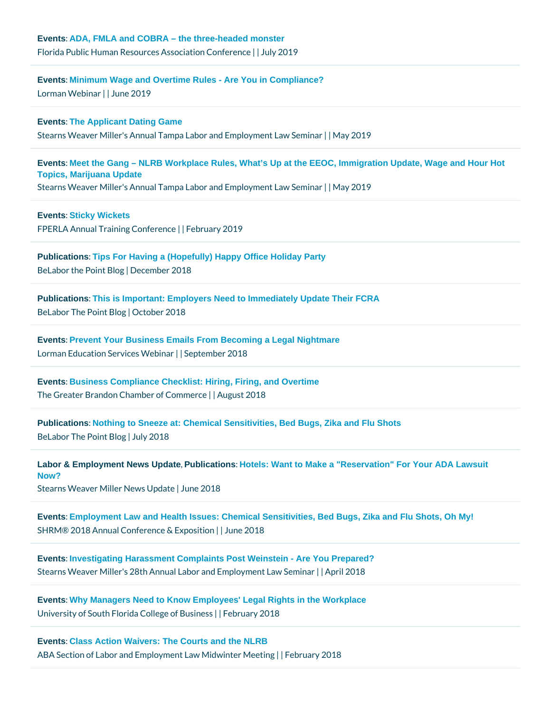[Events](/blog/category/events/) [: Minimum Wage and Overtime Rules - Are You in Compliance?](http://www.lorman.com/405481?discount_code=D3898681&p=13389) Lorman Webiname 2019

[Events](/blog/category/events/) [: The Applicant Dating Game](https://www.stearnsweaver.com/files/Agenda for Tampa 2019.pdf) Stearns Weaver Miller's Annual Tampa Labor and Mamp 200 venent Law Seminar

[Events](/blog/category/events/) [: Meet the Gang – NLRB Workplace Rules, What's Up at the EEOC, Immigration Update, Wage and Hour Hot](https://www.stearnsweaver.com/files/Agenda for Tampa 2019.pdf)  [Topics, Marijuana Update](https://www.stearnsweaver.com/files/Agenda for Tampa 2019.pdf) Stearns Weaver Miller's Annual Tampa Labor ahd Mam p 200 yenent Law Seminar

[Events](/blog/category/events/) [: Sticky Wickets](http://fpelra.org/education/annual-training-conference/)  $FPERLA$  Annual Training Econfruear eyn  $2019$ 

[Publications](/blog/category/publications/) [: Tips For Having a \(Hopefully\) Happy Office Holiday Party](https://www.belaborthepoint.com/2018/12/tips-for-having-a-hopefully-happy-office-holiday-party/)  $B$ e Labor the Poi $D$  be delmoto er 2018

[Publications](/blog/category/publications/) [: This is Important: Employers Need to Immediately Update Their FCRA](https://www.belaborthepoint.com/2018/10/this-is-important-employers-need-to-immediately-update-their-fcra-summary-of-rights-form/)  BeLabor The PoiDoct Blog 2018

[Events](/blog/category/events/) [: Prevent Your Business Emails From Becoming a Legal Nightmare](http://www.stearnsweaver.com/files/Janet Webinar brochure.pdf) Lorman Education Servilc& spWeenbbrear 2018

[Events](/blog/category/events/) [: Business Compliance Checklist: Hiring, Firing, and Overtime](http://www.brandonchamber.com/events/calendar/686-finance-and-accounting-skills-pricing-for-profits/event_details.html) The Greater Brandon ChamberAoufg Costm2n0elr&e

[Publications](/blog/category/publications/) [: Nothing to Sneeze at: Chemical Sensitivities, Bed Bugs, Zika and Flu Shots](https://www.belaborthepoint.com/2018/07/nothing-to-sneeze-at-chemical-sensitivities-bed-bugs-zika-and-flu-shots/#more-5596) BeLabor The Point Bl20018

```
Labor & Employment News Update, Publications : Hotels: Want to Make a "Reservation" For Your ADA Lawsuit
Now?
Stearns Weaver Miller Neuwnse U2p0d a8te
```
[Events](/blog/category/events/) [: Employment Law and Health Issues: Chemical Sensitivities, Bed Bugs, Zika and Flu Shots, Oh My!](https://annual.shrm.org/sessionplanner/session/22411/employment-law-and-health-issues-chemical-sensitivities-bed-bugs-zika-and-flu-shots-oh-my) SHRM® 2018 Annual Conference and Exposition

[Events](/blog/category/events/) [: Investigating Harassment Complaints Post Weinstein - Are You Prepared?](http://files.constantcontact.com/2da12ccf301/09d5b0e5-cce4-417d-98e0-b0dc1c914919.pdf) Stearns Weaver Miller's 28th Annual Labor and <del>Epm plic 20minual</del> Law Seminar

[Events](/blog/category/events/) [: Why Managers Need to Know Employees' Legal Rights in the Workplace](http://www.stearnsweaver.com/files/Janet Event.png) University of South Florida Colle IFe peu afry Basiness

[Events](/blog/category/events/) [: Class Action Waivers: The Courts and the NLRB](https://www.americanbar.org/content/dam/aba/events/labor_law/2018/ADR-Agenda-DRAFT.authcheckdam.pdf) ABA Section of Labor and Employment LaFive Miriudawiynt2e0r1MBleeting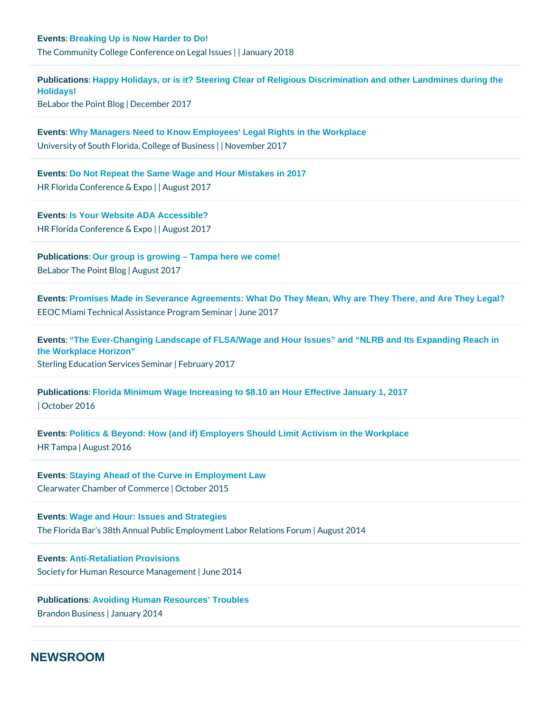[Events](/blog/category/events/) [: Breaking Up is Now Harder to Do!](https://conferences.valenciacollege.edu/legal-issues/agenda/) The Community College Conference and  $\log q$  and  $\log q$  and  $\log q$ 

[Publications](/blog/category/publications/) : Happy Holidays, or is it? Steering Clear of Religious Discrimination and other Landmines during the [Holidays!](https://www.belaborthepoint.com/2017/12/happy-holidays-or-is-it-steering-clear-of-religious-discrimination-and-other-landmines-during-the-holidays/)  BeLabor the PoiD te delmotoger 2017

[Events](/blog/category/events/) [: Why Managers Need to Know Employees' Legal Rights in the Workplace](http://www.stearnsweaver.com/files/2017 Janet McEnery USF.pdf) University of South Florida, GbNegemobie BulsOith 26 ss

[Events](/blog/category/events/) [: Do Not Repeat the Same Wage and Hour Mistakes in 2017](http://www.hrflorida.org/mpage/conference) HR Florida Conference QuB kp20017

[Events](/blog/category/events/) [: Is Your Website ADA Accessible?](http://www.hrflorida.org/mpage/conference) HR Florida Conference et & us kp20017

[Publications](/blog/category/publications/) : Our group is growing – Tampa here we come!  $B$ e Labor The P $\phi$ i Anut g Bulsotg 2017

[Events](/blog/category/events/) [: Promises Made in Severance Agreements: What Do They Mean, Why are They There, and Are They Legal?](http://www.belaborthepoint.com/2017/08/our-group-is-growing-tampa-here-we-come/) EEOC Miami Technical Assistande Frog2@ fm7 Seminar

[Events](/blog/category/events/) [: "The Ever-Changing Landscape of FLSA/Wage and Hour Issues" and "NLRB and Its Expanding Reach in](http://www.belaborthepoint.com/2017/08/our-group-is-growing-tampa-here-we-come/)  [the Workplace Horizon"](http://www.belaborthepoint.com/2017/08/our-group-is-growing-tampa-here-we-come/) Sterling Education ServFreebsruSaer minar 7

[Publications](/blog/category/publications/) [: Florida Minimum Wage Increasing to \\$8.10 an Hour Effective January 1, 2017](http://www.belaborthepoint.com/2017/08/our-group-is-growing-tampa-here-we-come/) | October 2016

[Events](/blog/category/events/) [: Politics & Beyond: How \(and if\) Employers Should Limit Activism in the Workplace](http://www.belaborthepoint.com/2017/08/our-group-is-growing-tampa-here-we-come/) HR Tam pAaugust 2016

[Events](/blog/category/events/) [: Staying Ahead of the Curve in Employment Law](http://www.belaborthepoint.com/2017/08/our-group-is-growing-tampa-here-we-come/) Clearwater Chamber of CCootmo bneer 2015

[Events](/blog/category/events/) [: Wage and Hour: Issues and Strategies](http://www.belaborthepoint.com/2017/08/our-group-is-growing-tampa-here-we-come/) The Florida Bar s 38th Annual Public Employm & ng usab 201Relations Forum

[Events](/blog/category/events/) [: Anti-Retaliation Provisions](http://www.belaborthepoint.com/2017/08/our-group-is-growing-tampa-here-we-come/) Society for Human Resour $\phi$ e Unanagement

[Publications](/blog/category/publications/) [: Avoiding Human Resources' Troubles](http://www.belaborthepoint.com/2017/08/our-group-is-growing-tampa-here-we-come/) Brandon Busilmansusary 2014

### NEWSROOM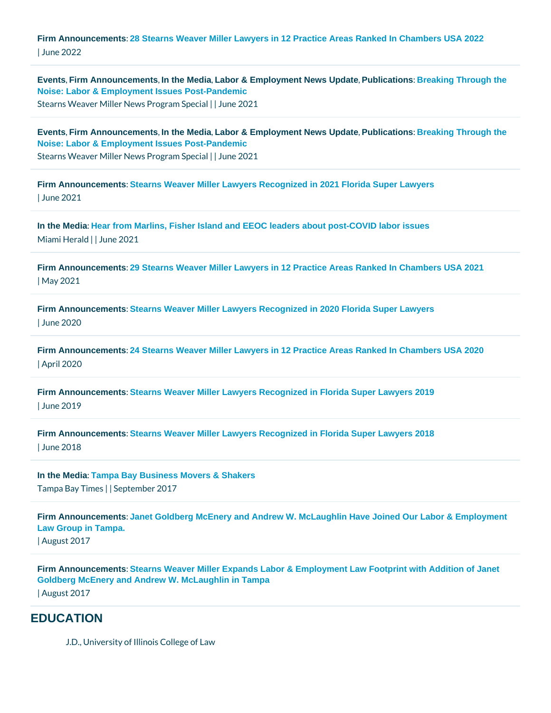[Firm Announcements](/blog/category/firm-announcements/) [: 28 Stearns Weaver Miller Lawyers in 12 Practice Areas Ranked In Chambers USA 2022](https://www.stearnsweaver.com/files/Stearns Weaver Miller Chambers 2022_2.pdf) | June 2022

[Events](/blog/category/events/) Firm Announcements In the Media Labor & Employment News Update Publications : Breaking Through the [Noise: Labor & Employment Issues Post-Pandemic](https://www.stearnsweaver.com/practices/breaking-through-the-noise/) Stearns Weaver Miller News | P Jog mea 2008 pecial

[Events](/blog/category/events/) Firm Announcements In the Media Labor & Employment News Update Publications : Breaking Through the [Noise: Labor & Employment Issues Post-Pandemic](https://www.stearnsweaver.com/practices/breaking-through-the-noise/) Stearns Weaver Miller News | P Jog mea 2008 pecial

[Firm Announcements](/blog/category/firm-announcements/) [: Stearns Weaver Miller Lawyers Recognized in 2021 Florida Super Lawyers](https://www.stearnsweaver.com/files/Stearns Weaver Miller Lawyers Recognized in 2021 Florida Super Lawyers.pdf) | June 2021

[In the Media](/blog/category/in-the-media/) [: Hear from Marlins, Fisher Island and EEOC leaders about post-COVID labor issues](https://www.miamiherald.com/news/business/article252257183.html) Miami Helnaldne 2021

[Firm Announcements](/blog/category/firm-announcements/) [: 29 Stearns Weaver Miller Lawyers in 12 Practice Areas Ranked In Chambers USA 2021](https://www.stearnsweaver.com/files/29 Stearns Weaver Miller Lawyers in 12 Practice Areas Ranked In Chambers USA 2021.pdf) | May 2021

[Firm Announcements](/blog/category/firm-announcements/) [: Stearns Weaver Miller Lawyers Recognized in 2020 Florida Super Lawyers](https://www.stearnsweaver.com/files/Stearns Weaver Miller Lawyers Recognized in 2020 Florida Super Lawyers.pdf) | June 2020

[Firm Announcements](/blog/category/firm-announcements/) [: 24 Stearns Weaver Miller Lawyers in 12 Practice Areas Ranked In Chambers USA 2020](https://www.stearnsweaver.com/files/24 Stearns Weaver Miller Lawyers in 12 Practice Areas Ranked In Chambers USA 2020_.pdf) | April 2020

[Firm Announcements](/blog/category/firm-announcements/) [: Stearns Weaver Miller Lawyers Recognized in Florida Super Lawyers 2019](https://www.stearnsweaver.com/files/Stearns Weaver Miller Lawyers Recognized in Florida Super Lawyers 2019.pdf) | June 2019

[Firm Announcements](/blog/category/firm-announcements/) [: Stearns Weaver Miller Lawyers Recognized in Florida Super Lawyers 2018](http://www.stearnsweaver.com/files/2018 Super Lawyers.pdf) | June 2018

[In the Media](/blog/category/in-the-media/) : Tampa Bay Business Movers & Shakers Tampa Bay | TiSmeepstember 2017

[Firm Announcements](/blog/category/firm-announcements/) [: Janet Goldberg McEnery and Andrew W. McLaughlin Have Joined Our Labor & Employment](http://campaign.r20.constantcontact.com/render?m=1116637108946&ca=53ab0c1e-ad80-4acb-be03-eaf06682e7fc)  [Law Group in Tampa.](http://campaign.r20.constantcontact.com/render?m=1116637108946&ca=53ab0c1e-ad80-4acb-be03-eaf06682e7fc)  | August 2017

[Firm Announcements](/blog/category/firm-announcements/) [: Stearns Weaver Miller Expands Labor & Employment Law Footprint with Addition of Janet](http://www.stearnsweaver.com/files/2017 Janet McEnery and Andrew McLaughlin Join Tampa Office_2.pdf)  [Goldberg McEnery and Andrew W. McLaughlin in Tampa](http://www.stearnsweaver.com/files/2017 Janet McEnery and Andrew McLaughlin Join Tampa Office_2.pdf)  | August 2017

#### **EDUCATION**

J.D., University of Illinois College of Law